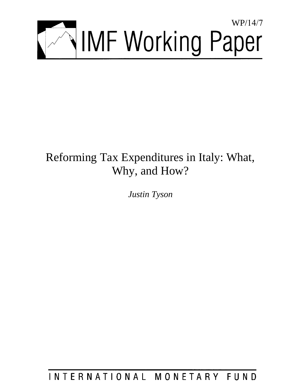

# Reforming Tax Expenditures in Italy: What, Why, and How?

*Justin Tyson* 

INTERNATIONAL MONETARY FUND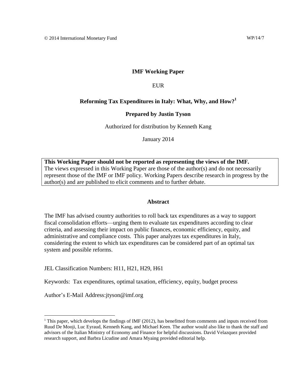#### **IMF Working Paper**

#### EUR

#### **Reforming Tax Expenditures in Italy: What, Why, and How?<sup>1</sup>**

#### **Prepared by Justin Tyson**

Authorized for distribution by Kenneth Kang

January 2014

**This Working Paper should not be reported as representing the views of the IMF.** The views expressed in this Working Paper are those of the author(s) and do not necessarily represent those of the IMF or IMF policy. Working Papers describe research in progress by the author(s) and are published to elicit comments and to further debate.

#### **Abstract**

The IMF has advised country authorities to roll back tax expenditures as a way to support fiscal consolidation efforts—urging them to evaluate tax expenditures according to clear criteria, and assessing their impact on public finances, economic efficiency, equity, and administrative and compliance costs. This paper analyzes tax expenditures in Italy, considering the extent to which tax expenditures can be considered part of an optimal tax system and possible reforms.

JEL Classification Numbers: H11, H21, H29, H61

Keywords: Tax expenditures, optimal taxation, efficiency, equity, budget process

Author's E-Mail Address:jtyson@imf.org

<sup>&</sup>lt;sup>1</sup> This paper, which develops the findings of IMF (2012), has benefitted from comments and inputs received from Ruud De Mooji, Luc Eyraud, Kenneth Kang, and Michael Keen. The author would also like to thank the staff and advisors of the Italian Ministry of Economy and Finance for helpful discussions. David Velazquez provided research support, and Barbra Licudine and Amara Myaing provided editorial help.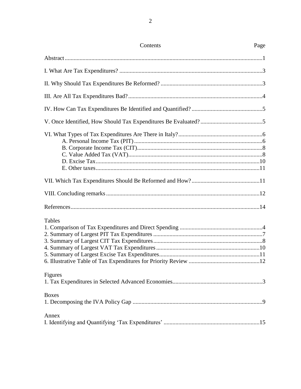| Contents     | Page |
|--------------|------|
|              |      |
|              |      |
|              |      |
|              |      |
|              |      |
|              |      |
|              |      |
|              |      |
|              |      |
|              |      |
| Tables       |      |
| Figures      |      |
| <b>Boxes</b> |      |
| Annex        |      |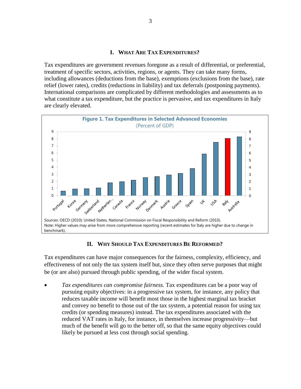#### **I. WHAT ARE TAX EXPENDITURES?**

Tax expenditures are government revenues foregone as a result of differential, or preferential, treatment of specific sectors, activities, regions, or agents. They can take many forms, including allowances (deductions from the base), exemptions (exclusions from the base), rate relief (lower rates), credits (reductions in liability) and tax deferrals (postponing payments). International comparisons are complicated by different methodologies and assessments as to what constitute a tax expenditure, but the practice is pervasive, and tax expenditures in Italy are clearly elevated.



## **II. WHY SHOULD TAX EXPENDITURES BE REFORMED?**

Tax expenditures can have major consequences for the fairness, complexity, efficiency, and effectiveness of not only the tax system itself but, since they often serve purposes that might be (or are also) pursued through public spending, of the wider fiscal system.

 *Tax expenditures can compromise fairness.* Tax expenditures can be a poor way of pursuing equity objectives: in a progressive tax system, for instance, any policy that reduces taxable income will benefit most those in the highest marginal tax bracket and convey no benefit to those out of the tax system, a potential reason for using tax credits (or spending measures) instead. The tax expenditures associated with the reduced VAT rates in Italy, for instance, in themselves increase progressivity—but much of the benefit will go to the better off, so that the same equity objectives could likely be pursued at less cost through social spending.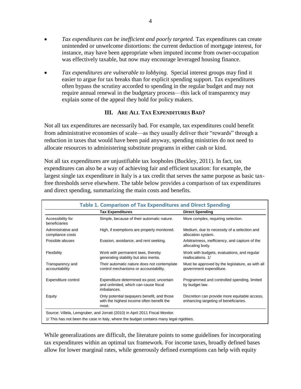- *Tax expenditures can be inefficient and poorly targeted.* Tax expenditures can create unintended or unwelcome distortions: the current deduction of mortgage interest, for instance, may have been appropriate when imputed income from owner-occupation was effectively taxable, but now may encourage leveraged housing finance.
- *Tax expenditures are vulnerable to lobbying.* Special interest groups may find it easier to argue for tax breaks than for explicit spending support. Tax expenditures often bypass the scrutiny accorded to spending in the regular budget and may not require annual renewal in the budgetary process—this lack of transparency may explain some of the appeal they hold for policy makers.

## **III. ARE ALL TAX EXPENDITURES BAD?**

Not all tax expenditures are necessarily bad. For example, tax expenditures could benefit from administrative economies of scale—as they usually deliver their "rewards" through a reduction in taxes that would have been paid anyway, spending ministries do not need to allocate resources to administering substitute programs in either cash or kind.

Not all tax expenditures are unjustifiable tax loopholes (Buckley, 2011). In fact, tax expenditures can also be a way of achieving fair and efficient taxation: for example, the largest single tax expenditure in Italy is a tax credit that serves the same purpose as basic taxfree thresholds serve elsewhere. The table below provides a comparison of tax expenditures and direct spending, summarizing the main costs and benefits.

| <b>Table 1. Comparison of Tax Expenditures and Direct Spending</b> |                                                                                                   |                                                                                        |  |
|--------------------------------------------------------------------|---------------------------------------------------------------------------------------------------|----------------------------------------------------------------------------------------|--|
|                                                                    | <b>Tax Expenditures</b>                                                                           | <b>Direct Spending</b>                                                                 |  |
| Accessibility for<br>beneficiaries                                 | Simple, because of their automatic nature.                                                        | More complex, requiring selection.                                                     |  |
| Administrative and<br>compliance costs                             | High, if exemptions are properly monitored.                                                       | Medium, due to necessity of a selection and<br>allocation system.                      |  |
| Possible abuses                                                    | Evasion, avoidance, and rent seeking.                                                             | Arbitrariness, inefficiency, and capture of the<br>allocating body.                    |  |
| Flexibility                                                        | Work with permanent laws, thereby<br>generating stability but also inertia.                       | Work with budgets, evaluations, and regular<br>reallocations. 1/                       |  |
| Transparency and<br>accountability                                 | Their automatic nature does not contemplate<br>control mechanisms or accountability.              | Must be approved by the legislature, as with all<br>government expenditure.            |  |
| Expenditure control                                                | Expenditure determined ex-post; uncertain<br>and unlimited, which can cause fiscal<br>imbalances. | Programmed and controlled spending, limited<br>by budget law.                          |  |
| Equity                                                             | Only potential taxpayers benefit, and those<br>with the highest income often benefit the<br>most. | Discretion can provide more equitable access,<br>enhancing targeting of beneficiaries. |  |
|                                                                    | Source: Villela, Lemgruber, and Jorratt (2010) in April 2011 Fiscal Monitor.                      |                                                                                        |  |
|                                                                    | 1/ This has not been the case in Italy, where the budget contains many legal rigidities.          |                                                                                        |  |

While generalizations are difficult, the literature points to some guidelines for incorporating tax expenditures within an optimal tax framework. For income taxes, broadly defined bases allow for lower marginal rates, while generously defined exemptions can help with equity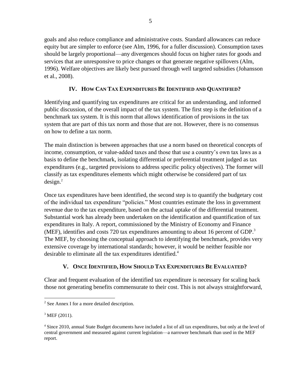goals and also reduce compliance and administrative costs. Standard allowances can reduce equity but are simpler to enforce (see Alm, 1996, for a fuller discussion). Consumption taxes should be largely proportional—any divergences should focus on higher rates for goods and services that are unresponsive to price changes or that generate negative spillovers (Alm, 1996). Welfare objectives are likely best pursued through well targeted subsidies (Johansson et al., 2008).

# **IV. HOW CAN TAX EXPENDITURES BE IDENTIFIED AND QUANTIFIED?**

Identifying and quantifying tax expenditures are critical for an understanding, and informed public discussion, of the overall impact of the tax system. The first step is the definition of a benchmark tax system. It is this norm that allows identification of provisions in the tax system that are part of this tax norm and those that are not. However, there is no consensus on how to define a tax norm.

The main distinction is between approaches that use a norm based on theoretical concepts of income, consumption, or value-added taxes and those that use a country's own tax laws as a basis to define the benchmark, isolating differential or preferential treatment judged as tax expenditures (e.g., targeted provisions to address specific policy objectives). The former will classify as tax expenditures elements which might otherwise be considered part of tax  $design.<sup>2</sup>$ 

Once tax expenditures have been identified, the second step is to quantify the budgetary cost of the individual tax expenditure "policies." Most countries estimate the loss in government revenue due to the tax expenditure, based on the actual uptake of the differential treatment. Substantial work has already been undertaken on the identification and quantification of tax expenditures in Italy. A report, commissioned by the Ministry of Economy and Finance (MEF), identifies and costs 720 tax expenditures amounting to about 16 percent of GDP. 3 The MEF, by choosing the conceptual approach to identifying the benchmark, provides very extensive coverage by international standards; however, it would be neither feasible nor desirable to eliminate all the tax expenditures identified.<sup>4</sup>

# **V. ONCE IDENTIFIED, HOW SHOULD TAX EXPENDITURES BE EVALUATED?**

Clear and frequent evaluation of the identified tax expenditure is necessary for scaling back those not generating benefits commensurate to their cost. This is not always straightforward,

<sup>&</sup>lt;sup>2</sup> See Annex I for a more detailed description.

 $3$  MEF (2011).

<sup>&</sup>lt;sup>4</sup> Since 2010, annual State Budget documents have included a list of all tax expenditures, but only at the level of central government and measured against current legislation—a narrower benchmark than used in the MEF report.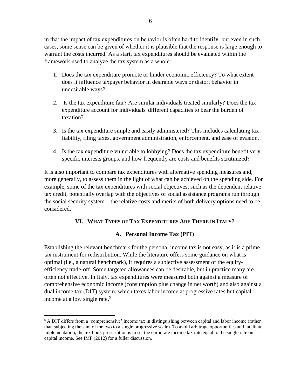in that the impact of tax expenditures on behavior is often hard to identify; but even in such cases, some sense can be given of whether it is plausible that the response is large enough to warrant the costs incurred. As a start, tax expenditures should be evaluated within the framework used to analyze the tax system as a whole:

- 1. Does the tax expenditure promote or hinder economic efficiency? To what extent does it influence taxpayer behavior in desirable ways or distort behavior in undesirable ways?
- 2. Is the tax expenditure fair? Are similar individuals treated similarly? Does the tax expenditure account for individuals' different capacities to bear the burden of taxation?
- 3. Is the tax expenditure simple and easily administered? This includes calculating tax liability, filing taxes, government administration, enforcement, and ease of evasion.
- 4. Is the tax expenditure vulnerable to lobbying? Does the tax expenditure benefit very specific interests groups, and how frequently are costs and benefits scrutinized?

It is also important to compare tax expenditures with alternative spending measures and, more generally, to assess them in the light of what can be achieved on the spending side. For example, some of the tax expenditures with social objectives, such as the dependent relative tax credit, potentially overlap with the objectives of social assistance programs run through the social security system—the relative costs and merits of both delivery options need to be considered.

# **VI. WHAT TYPES OF TAX EXPENDITURES ARE THERE IN ITALY?**

# **A. Personal Income Tax (PIT)**

Establishing the relevant benchmark for the personal income tax is not easy, as it is a prime tax instrument for redistribution. While the literature offers some guidance on what is optimal (i.e., a natural benchmark), it requires a subjective assessment of the equityefficiency trade-off. Some targeted allowances can be desirable, but in practice many are often not effective. In Italy, tax expenditures were measured both against a measure of comprehensive economic income (consumption plus change in net worth) and also against a dual income tax (DIT) system, which taxes labor income at progressive rates but capital income at a low single rate.<sup>5</sup>

 $<sup>5</sup>$  A DIT differs from a 'comprehensive' income tax in distinguishing between capital and labor income (rather</sup> than subjecting the sum of the two to a single progressive scale). To avoid arbitrage opportunities and facilitate implementation, the textbook prescription is to set the corporate income tax rate equal to the single rate on capital income. See IMF (2012) for a fuller discussion.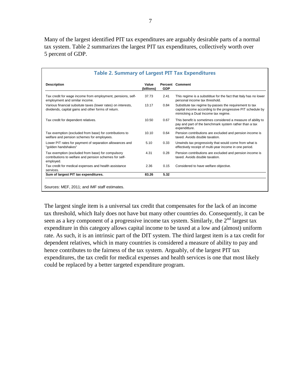Many of the largest identified PIT tax expenditures are arguably desirable parts of a normal tax system. Table 2 summarizes the largest PIT tax expenditures, collectively worth over 5 percent of GDP.

| <b>Table 2. Summary of Largest PIT Tax Expenditures</b>                                                                  |                     |            |                                                                                                                                                              |
|--------------------------------------------------------------------------------------------------------------------------|---------------------|------------|--------------------------------------------------------------------------------------------------------------------------------------------------------------|
| <b>Description</b>                                                                                                       | Value<br>(billions) | <b>GDP</b> | <b>Percent Comment</b>                                                                                                                                       |
| Tax credit for wage income from employment, pensions, self-<br>employment and similar income.                            | 37.73               | 2.41       | This regime is a substititue for the fact that Italy has no lower<br>personal income tax threshold.                                                          |
| Various financial subsitute taxes (lower rates) on interests,<br>dividends, capital gains and other forms of return.     | 13.17               | 0.84       | Substitute tax regime by-passes the requirement to tax<br>capital income according to the progressive PIT schedule by<br>mimicking a Dual Income tax regime. |
| Tax credit for dependent relatives.                                                                                      | 10.50               | 0.67       | This benefit is sometimes considered a measure of ability to<br>pay and part of the benchmark system rather than a tax<br>expenditture.                      |
| Tax exemption (excluded from base) for contributions to<br>welfare and pension schemes for employees.                    | 10.10               | 0.64       | Pension contributions are excluded and pension income is<br>taxed. Avoids double taxation.                                                                   |
| Lower PIT rates for payment of separation allowances and<br>"golden handshakes"                                          | 5.10                | 0.33       | Unwinds tax progressivity that would come from what is<br>effectively receipt of multi-year income in one period.                                            |
| Tax exemption (excluded from base) for compulsory<br>contributions to welfare and pension schemes for self-<br>employed. | 4.31                | 0.28       | Pension contributions are excluded and pension income is<br>taxed. Avoids double taxation.                                                                   |
| Tax credit for medical expenses and health assistance<br>services.                                                       | 2.36                | 0.15       | Considered to have welfare objective.                                                                                                                        |
| Sum of largest PIT tax expenditures.                                                                                     | 83.26               | 5.32       |                                                                                                                                                              |

The largest single item is a universal tax credit that compensates for the lack of an income tax threshold, which Italy does not have but many other countries do. Consequently, it can be seen as a key component of a progressive income tax system. Similarly, the  $2<sup>nd</sup>$  largest tax expenditure in this category allows capital income to be taxed at a low and (almost) uniform rate. As such, it is an intrinsic part of the DIT system. The third largest item is a tax credit for dependent relatives, which in many countries is considered a measure of ability to pay and hence contributes to the fairness of the tax system. Arguably, of the largest PIT tax expenditures, the tax credit for medical expenses and health services is one that most likely could be replaced by a better targeted expenditure program.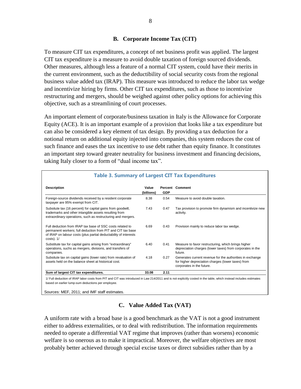## **B. Corporate Income Tax (CIT)**

To measure CIT tax expenditures, a concept of net business profit was applied. The largest CIT tax expenditure is a measure to avoid double taxation of foreign sourced dividends. Other measures, although less a feature of a normal CIT system, could have their merits in the current environment, such as the deductibility of social security costs from the regional business value added tax (IRAP). This measure was introduced to reduce the labor tax wedge and incentivize hiring by firms. Other CIT tax expenditures, such as those to incentivize restructuring and mergers, should be weighed against other policy options for achieving this objective, such as a streamlining of court processes.

An important element of corporate/business taxation in Italy is the Allowance for Corporate Equity (ACE). It is an important example of a provision that looks like a tax expenditure but can also be considered a key element of tax design. By providing a tax deduction for a notional return on additional equity injected into companies, this system reduces the cost of such finance and eases the tax incentive to use debt rather than equity finance. It constitutes an important step toward greater neutrality for business investment and financing decisions, taking Italy closer to a form of "dual income tax".

| <b>Description</b>                                                                                                                                                                                              | Value<br>(billions) | <b>GDP</b> | <b>Percent Comment</b>                                                                                                                       |
|-----------------------------------------------------------------------------------------------------------------------------------------------------------------------------------------------------------------|---------------------|------------|----------------------------------------------------------------------------------------------------------------------------------------------|
| Foreign-source dividends received by a resident corporate<br>taxpayer are 95% exempt from CIT.                                                                                                                  | 8.38                | 0.54       | Measure to avoid double taxation.                                                                                                            |
| Subsitute tax (16 percent) for capital gains from goodwill,<br>trademarks and other intangible assets resulting from<br>extraordinary operations, such as restructuring and mergers.                            | 7.43                | 0.47       | Tax provision to promote firm dynamism and incentivize new<br>activity.                                                                      |
| Full deduction from IRAP tax base of SSC costs related to<br>permanent workers; full deduction from PIT and CIT tax base<br>of IRAP on labour costs (plus partial deductability of interests<br>$costs)$ . $1/$ | 6.69                | 0.43       | Provision mainly to reduce labor tax wedge.                                                                                                  |
| Substitute tax for capital gains arising from "extraordinary"<br>operations, suchs as mergers, divisions, and transfers of<br>companies.                                                                        | 6.40                | 0.41       | Measure to favor restructuring, which brings higher<br>depreciation charges (lower taxes) from corporates in the<br>future.                  |
| Subsitute tax on capital gains (lower rate) from revaluation of<br>assets held on the balance sheet at historical cost.                                                                                         | 4.18                | 0.27       | Generates current revenue for the authorities in exchange<br>for higher depreciation charges (lower taxes) from<br>corporates in the future. |
| Sum of largest CIT tax expenditures.                                                                                                                                                                            | 33.08               | 2.11       |                                                                                                                                              |

1/ Full deduction of IRAP labor costs from PIT and CIT was introduced in Law 214/2011 and is not explicitly costed in the table, which instead includes estimates based on earlier lump-sum deductions per employee.

Sources: MEF, 2011; and IMF staff estimates.

# **C. Value Added Tax (VAT)**

A uniform rate with a broad base is a good benchmark as the VAT is not a good instrument either to address externalities, or to deal with redistribution. The information requirements needed to operate a differential VAT regime that improves (rather than worsens) economic welfare is so onerous as to make it impractical. Moreover, the welfare objectives are most probably better achieved through special excise taxes or direct subsidies rather than by a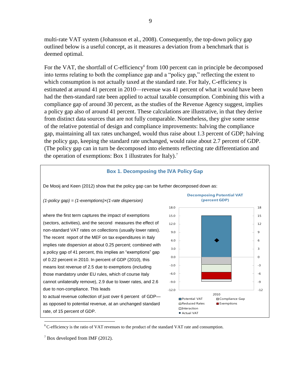multi-rate VAT system (Johansson et al., 2008). Consequently, the top-down policy gap outlined below is a useful concept, as it measures a deviation from a benchmark that is deemed optimal.

For the VAT, the shortfall of C-efficiency<sup>6</sup> from 100 percent can in principle be decomposed into terms relating to both the compliance gap and a "policy gap," reflecting the extent to which consumption is not actually taxed at the standard rate. For Italy, C-efficiency is estimated at around 41 percent in 2010—revenue was 41 percent of what it would have been had the then-standard rate been applied to actual taxable consumption. Combining this with a compliance gap of around 30 percent, as the studies of the Revenue Agency suggest, implies a policy gap also of around 41 percent. These calculations are illustrative, in that they derive from distinct data sources that are not fully comparable. Nonetheless, they give some sense of the relative potential of design and compliance improvements: halving the compliance gap, maintaining all tax rates unchanged, would thus raise about 1.3 percent of GDP; halving the policy gap, keeping the standard rate unchanged, would raise about 2.7 percent of GDP. (The policy gap can in turn be decomposed into elements reflecting rate differentiation and the operation of exemptions: Box 1 illustrates for Italy).<sup>7</sup>

#### **Box 1. Decomposing the IVA Policy Gap**





<sup>6</sup> C-efficiency is the ratio of VAT revenues to the product of the standard VAT rate and consumption.

 $7$  Box developed from IMF (2012).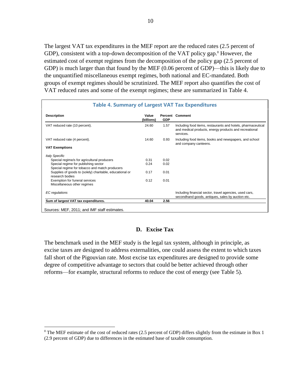The largest VAT tax expenditures in the MEF report are the reduced rates (2.5 percent of GDP), consistent with a top-down decomposition of the VAT policy gap. $8$  However, the estimated cost of exempt regimes from the decomposition of the policy gap (2.5 percent of GDP) is much larger than that found by the MEF (0.06 percent of GDP)—this is likely due to the unquantified miscellaneous exempt regimes, both national and EC-mandated. Both groups of exempt regimes should be scrutinized. The MEF report also quantifies the cost of VAT reduced rates and some of the exempt regimes; these are summarized in Table 4.

| <b>Table 4. Summary of Largest VAT Tax Expenditures</b>                     |                     |            |                                                                                                                                     |
|-----------------------------------------------------------------------------|---------------------|------------|-------------------------------------------------------------------------------------------------------------------------------------|
| <b>Description</b>                                                          | Value<br>(billions) | <b>GDP</b> | <b>Percent Comment</b>                                                                                                              |
| VAT reduced rate (10 percent).                                              | 24.60               | 1.57       | Including food items, restaurants and hotels, pharmaceutical<br>and medical products, energy products and recreational<br>services. |
| VAT reduced rate (4 percent).                                               | 14.60               | 0.93       | Including food items, books and newspapers, and school<br>and company canteens.                                                     |
| <b>VAT Exemptions</b>                                                       |                     |            |                                                                                                                                     |
| <b>Italy Specific</b>                                                       |                     |            |                                                                                                                                     |
| Special regime/s for agricultural producers                                 | 0.31                | 0.02       |                                                                                                                                     |
| Special regime for publishing sector                                        | 0.24                | 0.02       |                                                                                                                                     |
| Special regime for tobacco and match producers                              |                     |            |                                                                                                                                     |
| Supplies of goods to (solely) charitable, educational or<br>research bodies | 0.17                | 0.01       |                                                                                                                                     |
| Exemption for funeral services                                              | 0.12                | 0.01       |                                                                                                                                     |
| Miscellaneous other regimes                                                 |                     |            |                                                                                                                                     |
| EC regulations                                                              |                     |            | Including financial sector, travel agencies, used cars,<br>secondhand goods, antiques, sales by auction etc.                        |
| Sum of largest VAT tax expenditures.                                        | 40.04               | 2.56       |                                                                                                                                     |

# **D. Excise Tax**

The benchmark used in the MEF study is the legal tax system, although in principle, as excise taxes are designed to address externalities, one could assess the extent to which taxes fall short of the Pigouvian rate. Most excise tax expenditures are designed to provide some degree of competitive advantage to sectors that could be better achieved through other reforms—for example, structural reforms to reduce the cost of energy (see Table 5).

 $8$  The MEF estimate of the cost of reduced rates (2.5 percent of GDP) differs slightly from the estimate in Box 1 (2.9 percent of GDP) due to differences in the estimated base of taxable consumption.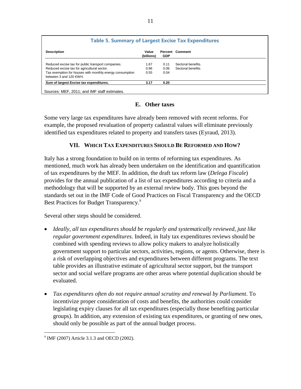| <b>Table 5. Summary of Largest Excise Tax Expenditures</b>                         |                     |            |                        |
|------------------------------------------------------------------------------------|---------------------|------------|------------------------|
| <b>Description</b>                                                                 | Value<br>(billions) | <b>GDP</b> | <b>Percent Comment</b> |
| Reduced excise tax for public transport companies.                                 | 1.67                | 0.11       | Sectoral benefits.     |
| Reduced excise tax for agricultural sector.                                        | 0.96                | 0.06       | Sectoral benefits.     |
| Tax exemption for houses with monthly energy consumption<br>between 3 and 120 KWH. | 0.55                | 0.04       |                        |
| Sum of largest Excise tax expenditures.                                            | 3.17                | 0.20       |                        |

# **E. Other taxes**

Some very large tax expenditures have already been removed with recent reforms. For example, the proposed revaluation of property cadastral values will eliminate previously identified tax expenditures related to property and transfers taxes (Eyraud, 2013).

# **VII. WHICH TAX EXPENDITURES SHOULD BE REFORMED AND HOW?**

Italy has a strong foundation to build on in terms of reforming tax expenditures. As mentioned, much work has already been undertaken on the identification and quantification of tax expenditures by the MEF. In addition, the draft tax reform law (*Delega Fiscale*) provides for the annual publication of a list of tax expenditures according to criteria and a methodology that will be supported by an external review body. This goes beyond the standards set out in the IMF Code of Good Practices on Fiscal Transparency and the OECD Best Practices for Budget Transparency.<sup>9</sup>

Several other steps should be considered.

- *Ideally, all tax expenditures should be regularly and systematically reviewed, just like regular government expenditures*. Indeed, in Italy tax expenditures reviews should be combined with spending reviews to allow policy makers to analyze holistically government support to particular sectors, activities, regions, or agents. Otherwise, there is a risk of overlapping objectives and expenditures between different programs. The text table provides an illustrative estimate of agricultural sector support, but the transport sector and social welfare programs are other areas where potential duplication should be evaluated.
- *Tax expenditures often do not require annual scrutiny and renewal by Parliament*. To incentivize proper consideration of costs and benefits, the authorities could consider legislating expiry clauses for all tax expenditures (especially those benefiting particular groups). In addition, any extension of existing tax expenditures, or granting of new ones, should only be possible as part of the annual budget process.

<sup>&</sup>lt;sup>9</sup> IMF (2007) Article 3.1.3 and OECD (2002).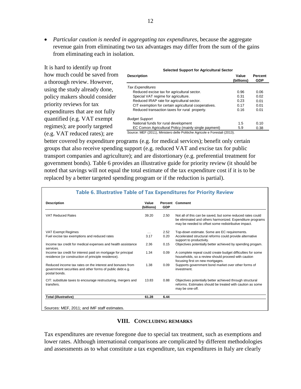*Particular caution is needed in aggregating tax expenditures*, because the aggregate revenue gain from eliminating two tax advantages may differ from the sum of the gains from eliminating each in isolation.

It is hard to identify up front how much could be saved from a thorough review. However, using the study already done, policy makers should consider priority reviews for tax expenditures that are not fully quantified (e.g. VAT exempt regimes); are poorly targeted (e.g. VAT reduced rates); are

**Description Value Percent (billions) GDP** *Tax Expenditures* Reduced excise tax for agricultural sector. 0.96 0.06 Special VAT regime for agriculture. 0.31 0.02 Reduced IRAP rate for agricultural sector. 0.23 0.01<br>CIT exemption for certain agricultural cooperatives. 0.17 0.01 CIT exemption for certain agricultural cooperatives. 0.17 0.01 Reduced transaction taxes for rural property. 0.16 0.01 *Budget Support*  National funds for rural development 1.5 0.10 EC Comon Agricultural Policy (mainly single payment) 5.9 0.38 **Selected Support for Agricultural Sector**

Source: MEF (2011), Ministero delle Politiche Agricole e Forestali (2013).

better covered by expenditure programs (e.g. for medical services); benefit only certain groups that also receive spending support (e.g. reduced VAT and excise tax for public transport companies and agriculture); and are distortionary (e.g. preferential treatment for government bonds). Table 6 provides an illustrative guide for priority review (it should be noted that savings will not equal the total estimate of the tax expenditure cost if it is to be replaced by a better targeted spending program or if the reduction is partial).

| <b>Description</b>                                                                                                                      | Value<br>(billions) | <b>GDP</b> | <b>Percent Comment</b>                                                                                                                                                         |
|-----------------------------------------------------------------------------------------------------------------------------------------|---------------------|------------|--------------------------------------------------------------------------------------------------------------------------------------------------------------------------------|
| <b>VAT Reduced Rates</b>                                                                                                                | 39.20               | 2.50       | Not all of this can be saved, but some reduced rates could<br>be eliminated and others harmonized. Expenditure programs<br>may be needed to offset some redistributive impact. |
| VAT Exempt Regimes                                                                                                                      | $\cdots$            | 2.52       | Top-down estimate. Some are EC requirements.                                                                                                                                   |
| Fuel excise tax exemptions and reduced rates                                                                                            | 3.17                | 0.20       | Accelerated structural reforms could provide alternative<br>support to productivity.                                                                                           |
| Income tax credit for medical expenses and health assistance<br>services.                                                               | 2.36                | 0.15       | Objectives potentially better achieved by spending progam.                                                                                                                     |
| Income tax credit for interest paid on mortgage for principal<br>residence (or construction of principle residence).                    | 1.34                | 0.09       | A complete repeal could create budget difficulties for some<br>households, so a review should proceed with caution<br>focusing first on new mortgages.                         |
| Reduced income tax rates on the interest and bonuses from<br>government securities and other forms of public debt e.g.<br>postal bonds. | 1.38                | 0.09       | Supports government bond market over other forms of<br>investment.                                                                                                             |
| CIT: substitute taxes to encourage restructuring, mergers and<br>transfers.                                                             | 13.83               | 0.88       | Objectives potentially better achieved through structural<br>reforms. Estimates should be treated with caution as some<br>may be one-off.                                      |
| <b>Total (illustrative)</b>                                                                                                             | 61.28               | 6.44       |                                                                                                                                                                                |

## **VIII. CONCLUDING REMARKS**

Tax expenditures are revenue foregone due to special tax treatment, such as exemptions and lower rates. Although international comparisons are complicated by different methodologies and assessments as to what constitute a tax expenditure, tax expenditures in Italy are clearly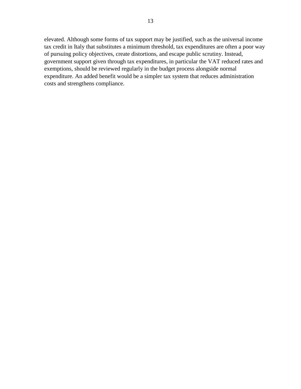elevated. Although some forms of tax support may be justified, such as the universal income tax credit in Italy that substitutes a minimum threshold, tax expenditures are often a poor way of pursuing policy objectives, create distortions, and escape public scrutiny. Instead, government support given through tax expenditures, in particular the VAT reduced rates and exemptions, should be reviewed regularly in the budget process alongside normal expenditure. An added benefit would be a simpler tax system that reduces administration costs and strengthens compliance.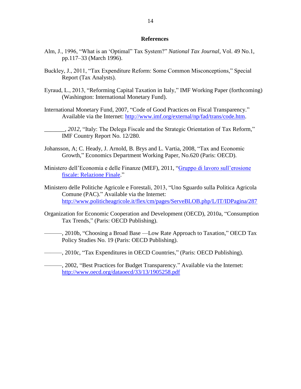#### **References**

- Alm, J., 1996, "What is an 'Optimal" Tax System?" *National Tax Journal*, Vol. 49 No.1, pp.117–33 (March 1996).
- Buckley, J., 2011, "Tax Expenditure Reform: Some Common Misconceptions," Special Report (Tax Analysts).
- Eyraud, L., 2013, "Reforming Capital Taxation in Italy," IMF Working Paper (forthcoming) (Washington: International Monetary Fund).
- International Monetary Fund, 2007, "Code of Good Practices on Fiscal Transparency." Available via the Internet: [http://www.imf.org/external/np/fad/trans/code.htm.](http://www.imf.org/external/np/fad/trans/code.htm)
- \_\_\_\_\_\_\_, *2012,* "Italy: The Delega Fiscale and the Strategic Orientation of Tax Reform," IMF Country Report No. 12/280.
- Johansson, A; C. Heady, J. Arnold, B. Brys and L. Vartia, 2008, "Tax and Economic Growth," Economics Department Working Paper, No.620 (Paris: OECD).
- Ministero dell'Economia e delle Finanze (MEF), 2011, ["Gruppo di lavoro sull'erosione](http://www.google.com/url?sa=t&rct=j&q=gruppo+lavoro+erosione+fiscale&source=web&cd=1&ved=0CEsQFjAA&url=http%3A%2F%2Fwww.mef.gov.it%2Fdocumenti%2Fopen.asp%3Fidd%3D28892&ei=YKgOUOreOvSG0QHkuICQAg&usg=AFQjCNHoqS1C5blc1J5pS6Z1MlduaRqXRg)  [fiscale: Relazione Finale.](http://www.google.com/url?sa=t&rct=j&q=gruppo+lavoro+erosione+fiscale&source=web&cd=1&ved=0CEsQFjAA&url=http%3A%2F%2Fwww.mef.gov.it%2Fdocumenti%2Fopen.asp%3Fidd%3D28892&ei=YKgOUOreOvSG0QHkuICQAg&usg=AFQjCNHoqS1C5blc1J5pS6Z1MlduaRqXRg)"
- Ministero delle Politiche Agricole e Forestali, 2013, "Uno Sguardo sulla Politica Agricola Comune (PAC)." Available via the Internet: <http://www.politicheagricole.it/flex/cm/pages/ServeBLOB.php/L/IT/IDPagina/287>
- Organization for Economic Cooperation and Development (OECD), 2010a, "Consumption Tax Trends," (Paris: OECD Publishing).
	- ———, 2010b, "Choosing a Broad Base —Low Rate Approach to Taxation," OECD Tax Policy Studies No. 19 (Paris: OECD Publishing).
- ———, 2010c, "Tax Expenditures in OECD Countries," (Paris: OECD Publishing).

———, 2002, "Best Practices for Budget Transparency." Available via the Internet: <http://www.oecd.org/dataoecd/33/13/1905258.pdf>